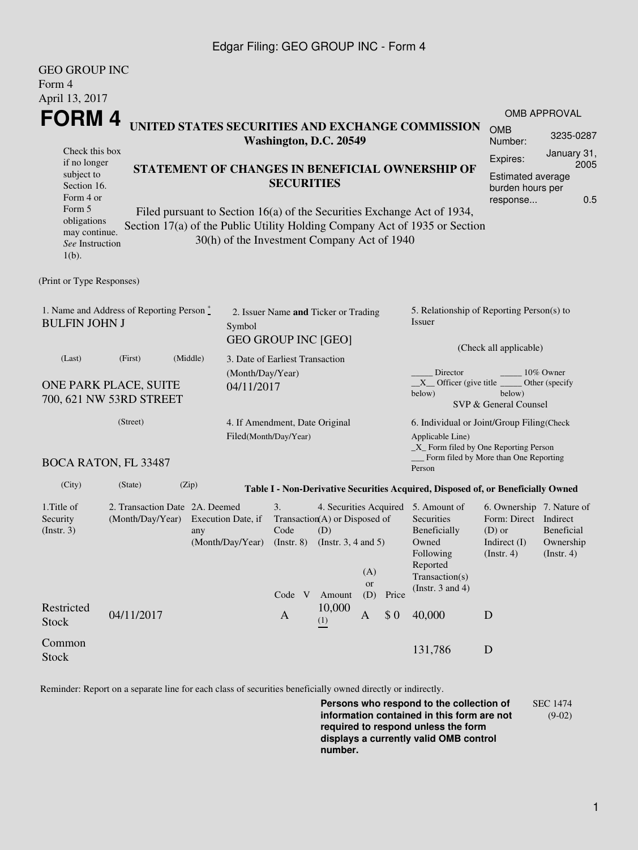### Edgar Filing: GEO GROUP INC - Form 4

GEO GROUP INC

| <u>GEO GROUP INC</u><br>Form 4                                                             |                                                                              |                                                         |                                             |                                                                                                                                          |               |                                                                                                                 |                                                                                                    |                                                                                                                                                       |                                                    |           |  |
|--------------------------------------------------------------------------------------------|------------------------------------------------------------------------------|---------------------------------------------------------|---------------------------------------------|------------------------------------------------------------------------------------------------------------------------------------------|---------------|-----------------------------------------------------------------------------------------------------------------|----------------------------------------------------------------------------------------------------|-------------------------------------------------------------------------------------------------------------------------------------------------------|----------------------------------------------------|-----------|--|
| April 13, 2017<br>FORM 4                                                                   |                                                                              |                                                         |                                             |                                                                                                                                          |               |                                                                                                                 |                                                                                                    | <b>OMB APPROVAL</b>                                                                                                                                   |                                                    |           |  |
| UNITED STATES SECURITIES AND EXCHANGE COMMISSION<br>Washington, D.C. 20549                 |                                                                              |                                                         |                                             |                                                                                                                                          |               |                                                                                                                 |                                                                                                    |                                                                                                                                                       | <b>OMB</b><br>Number:                              | 3235-0287 |  |
| Check this box<br>if no longer<br>subject to<br>Section 16.<br>Form 4 or<br>Form 5         | STATEMENT OF CHANGES IN BENEFICIAL OWNERSHIP OF<br><b>SECURITIES</b>         |                                                         |                                             |                                                                                                                                          |               |                                                                                                                 | January 31,<br>Expires:<br>2005<br><b>Estimated average</b><br>burden hours per<br>0.5<br>response |                                                                                                                                                       |                                                    |           |  |
| obligations<br>may continue.<br>See Instruction<br>$1(b)$ .                                |                                                                              |                                                         | 30(h) of the Investment Company Act of 1940 |                                                                                                                                          |               |                                                                                                                 |                                                                                                    | Filed pursuant to Section 16(a) of the Securities Exchange Act of 1934,<br>Section 17(a) of the Public Utility Holding Company Act of 1935 or Section |                                                    |           |  |
| (Print or Type Responses)                                                                  |                                                                              |                                                         |                                             |                                                                                                                                          |               |                                                                                                                 |                                                                                                    |                                                                                                                                                       |                                                    |           |  |
| 1. Name and Address of Reporting Person $\stackrel{*}{\mathbb{L}}$<br><b>BULFIN JOHN J</b> | 2. Issuer Name and Ticker or Trading<br>Symbol<br><b>GEO GROUP INC [GEO]</b> |                                                         |                                             |                                                                                                                                          |               | 5. Relationship of Reporting Person(s) to<br>Issuer<br>(Check all applicable)                                   |                                                                                                    |                                                                                                                                                       |                                                    |           |  |
| (Last)                                                                                     | (First)                                                                      | (Middle)                                                | 3. Date of Earliest Transaction             |                                                                                                                                          |               |                                                                                                                 |                                                                                                    |                                                                                                                                                       |                                                    |           |  |
| ONE PARK PLACE, SUITE<br>700, 621 NW 53RD STREET                                           | (Month/Day/Year)<br>04/11/2017                                               |                                                         |                                             |                                                                                                                                          |               | Director<br>10% Owner<br>$X$ Officer (give title<br>Other (specify<br>below)<br>below)<br>SVP & General Counsel |                                                                                                    |                                                                                                                                                       |                                                    |           |  |
|                                                                                            | (Street)                                                                     | 4. If Amendment, Date Original<br>Filed(Month/Day/Year) |                                             |                                                                                                                                          |               | 6. Individual or Joint/Group Filing(Check<br>Applicable Line)<br>_X_ Form filed by One Reporting Person         |                                                                                                    |                                                                                                                                                       |                                                    |           |  |
|                                                                                            | <b>BOCA RATON, FL 33487</b>                                                  |                                                         |                                             |                                                                                                                                          |               |                                                                                                                 |                                                                                                    | Person                                                                                                                                                | Form filed by More than One Reporting              |           |  |
| (City)                                                                                     | (State)                                                                      | (Zip)                                                   |                                             |                                                                                                                                          |               |                                                                                                                 |                                                                                                    | Table I - Non-Derivative Securities Acquired, Disposed of, or Beneficially Owned                                                                      |                                                    |           |  |
| 1. Title of<br>Security<br>(Insert. 3)                                                     | 2. Transaction Date 2A. Deemed<br>(Month/Day/Year) Execution Date, if<br>any |                                                         | (Month/Day/Year)                            | 3.<br>4. Securities Acquired 5. Amount of<br>Transaction(A) or Disposed of<br>(D)<br>Code<br>$($ Instr. $8)$<br>(Instr. $3, 4$ and $5$ ) |               |                                                                                                                 | Securities<br>Beneficially<br>Owned<br>Following                                                   | 6. Ownership 7. Nature of<br>Form: Direct Indirect<br>$(D)$ or<br>Indirect $(I)$<br>$($ lnstr. 4)                                                     | <b>Beneficial</b><br>Ownership<br>$($ lnstr. 4 $)$ |           |  |
|                                                                                            |                                                                              |                                                         |                                             | Code V                                                                                                                                   | Amount        | (A)<br><b>or</b><br>(D)                                                                                         | Price                                                                                              | Reported<br>Transaction(s)<br>(Instr. $3$ and $4$ )                                                                                                   |                                                    |           |  |
| Restricted<br><b>Stock</b>                                                                 | 04/11/2017                                                                   |                                                         |                                             | $\mathbf{A}$                                                                                                                             | 10,000<br>(1) | $\mathbf{A}$                                                                                                    | \$0                                                                                                | 40,000                                                                                                                                                | D                                                  |           |  |
| Common<br><b>Stock</b>                                                                     |                                                                              |                                                         |                                             |                                                                                                                                          |               |                                                                                                                 |                                                                                                    | 131,786                                                                                                                                               | D                                                  |           |  |

Reminder: Report on a separate line for each class of securities beneficially owned directly or indirectly.

**Persons who respond to the collection of information contained in this form are not required to respond unless the form displays a currently valid OMB control number.** SEC 1474 (9-02)